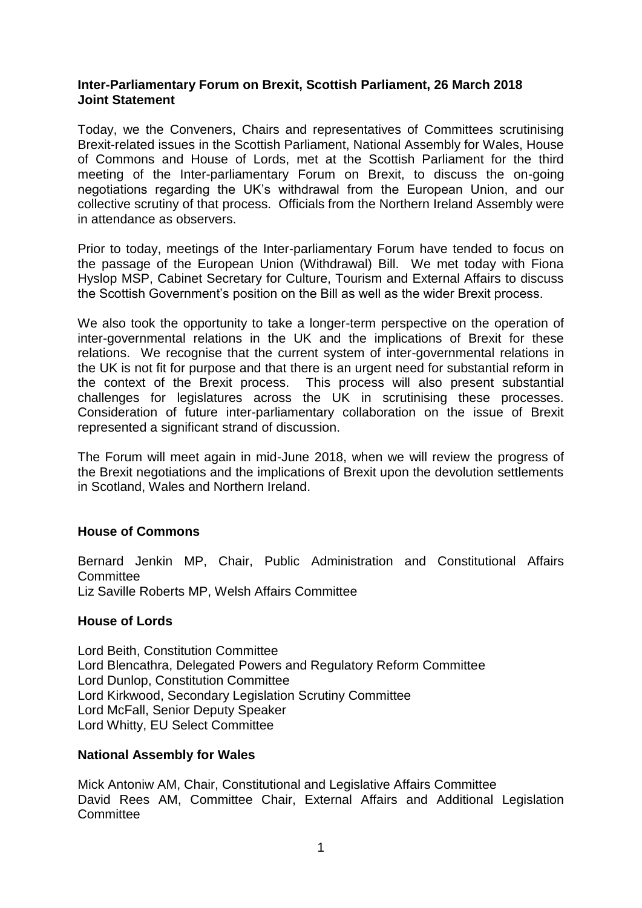# **Inter-Parliamentary Forum on Brexit, Scottish Parliament, 26 March 2018 Joint Statement**

Today, we the Conveners, Chairs and representatives of Committees scrutinising Brexit-related issues in the Scottish Parliament, National Assembly for Wales, House of Commons and House of Lords, met at the Scottish Parliament for the third meeting of the Inter-parliamentary Forum on Brexit, to discuss the on-going negotiations regarding the UK's withdrawal from the European Union, and our collective scrutiny of that process. Officials from the Northern Ireland Assembly were in attendance as observers.

Prior to today, meetings of the Inter-parliamentary Forum have tended to focus on the passage of the European Union (Withdrawal) Bill. We met today with Fiona Hyslop MSP, Cabinet Secretary for Culture, Tourism and External Affairs to discuss the Scottish Government's position on the Bill as well as the wider Brexit process.

We also took the opportunity to take a longer-term perspective on the operation of inter-governmental relations in the UK and the implications of Brexit for these relations. We recognise that the current system of inter-governmental relations in the UK is not fit for purpose and that there is an urgent need for substantial reform in the context of the Brexit process. This process will also present substantial challenges for legislatures across the UK in scrutinising these processes. Consideration of future inter-parliamentary collaboration on the issue of Brexit represented a significant strand of discussion.

The Forum will meet again in mid-June 2018, when we will review the progress of the Brexit negotiations and the implications of Brexit upon the devolution settlements in Scotland, Wales and Northern Ireland.

# **House of Commons**

Bernard Jenkin MP, Chair, Public Administration and Constitutional Affairs **Committee** Liz Saville Roberts MP, Welsh Affairs Committee

### **House of Lords**

Lord Beith, Constitution Committee Lord Blencathra, Delegated Powers and Regulatory Reform Committee Lord Dunlop, Constitution Committee Lord Kirkwood, Secondary Legislation Scrutiny Committee Lord McFall, Senior Deputy Speaker Lord Whitty, EU Select Committee

### **National Assembly for Wales**

Mick Antoniw AM, Chair, Constitutional and Legislative Affairs Committee David Rees AM, Committee Chair, External Affairs and Additional Legislation **Committee**